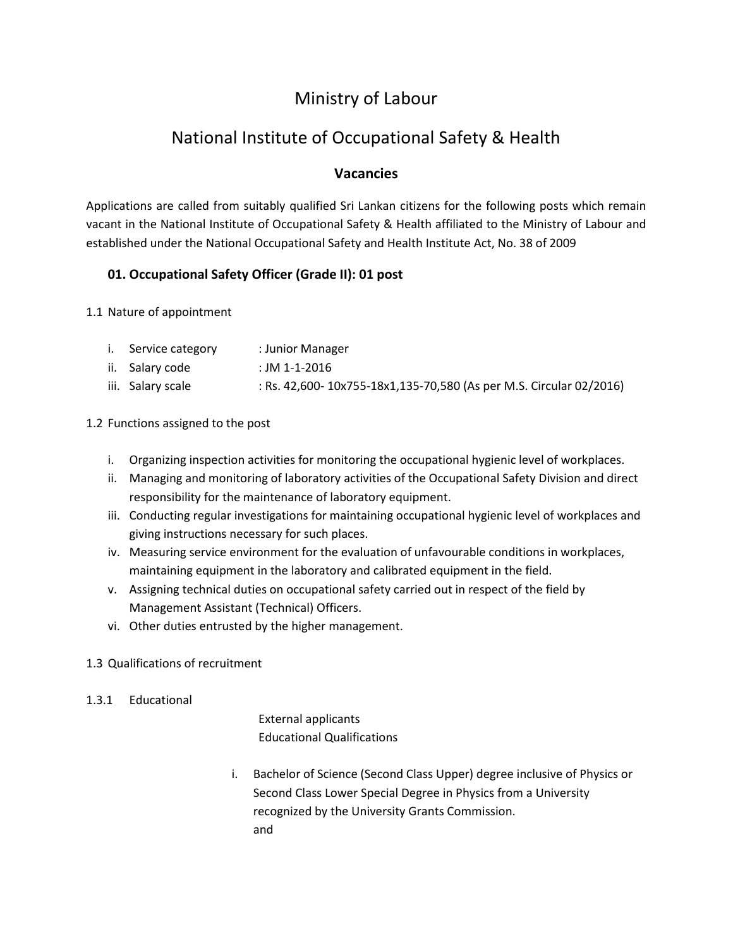# Ministry of Labour

# National Institute of Occupational Safety & Health

# **Vacancies**

Applications are called from suitably qualified Sri Lankan citizens for the following posts which remain vacant in the National Institute of Occupational Safety & Health affiliated to the Ministry of Labour and established under the National Occupational Safety and Health Institute Act, No. 38 of 2009

# **01. Occupational Safety Officer (Grade II): 01 post**

- 1.1 Nature of appointment
	- i. Service category : Junior Manager
	- ii. Salary code : JM 1-1-2016
	- iii. Salary scale : Rs. 42,600- 10x755-18x1,135-70,580 (As per M.S. Circular 02/2016)

#### 1.2 Functions assigned to the post

- i. Organizing inspection activities for monitoring the occupational hygienic level of workplaces.
- ii. Managing and monitoring of laboratory activities of the Occupational Safety Division and direct responsibility for the maintenance of laboratory equipment.
- iii. Conducting regular investigations for maintaining occupational hygienic level of workplaces and giving instructions necessary for such places.
- iv. Measuring service environment for the evaluation of unfavourable conditions in workplaces, maintaining equipment in the laboratory and calibrated equipment in the field.
- v. Assigning technical duties on occupational safety carried out in respect of the field by Management Assistant (Technical) Officers.
- vi. Other duties entrusted by the higher management.

## 1.3 Qualifications of recruitment

## 1.3.1 Educational

External applicants Educational Qualifications

i. Bachelor of Science (Second Class Upper) degree inclusive of Physics or Second Class Lower Special Degree in Physics from a University recognized by the University Grants Commission. and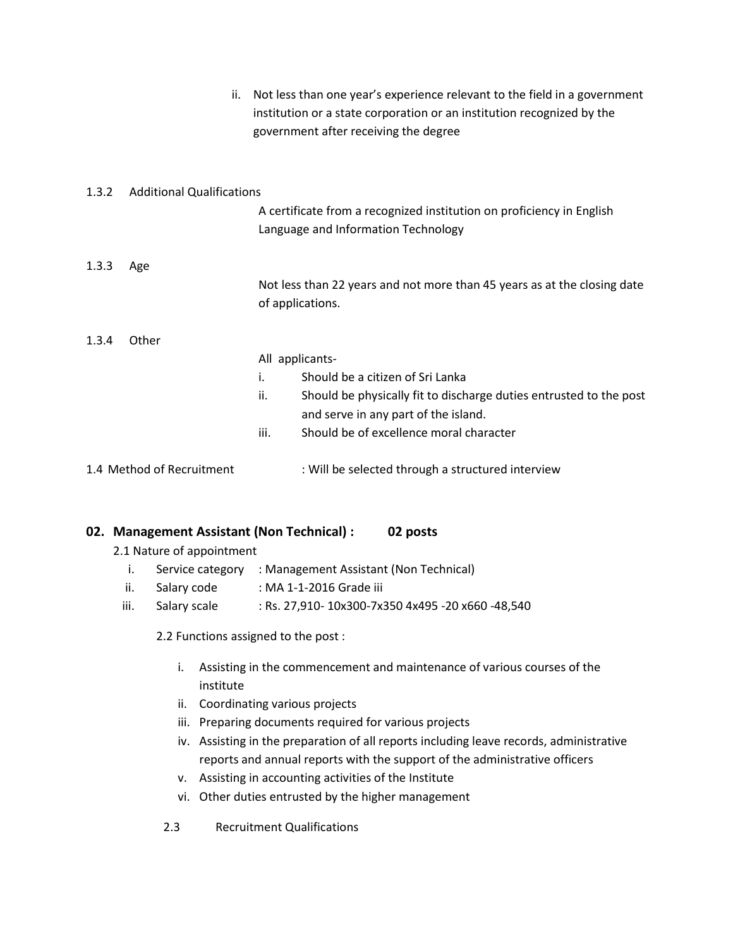|       | ii.                              | Not less than one year's experience relevant to the field in a government<br>institution or a state corporation or an institution recognized by the<br>government after receiving the degree |
|-------|----------------------------------|----------------------------------------------------------------------------------------------------------------------------------------------------------------------------------------------|
| 1.3.2 | <b>Additional Qualifications</b> |                                                                                                                                                                                              |
|       |                                  | A certificate from a recognized institution on proficiency in English<br>Language and Information Technology                                                                                 |
| 1.3.3 | Age                              |                                                                                                                                                                                              |
|       |                                  | Not less than 22 years and not more than 45 years as at the closing date<br>of applications.                                                                                                 |
| 1.3.4 | Other                            |                                                                                                                                                                                              |
|       |                                  | All applicants-                                                                                                                                                                              |
|       |                                  | Should be a citizen of Sri Lanka<br>i.                                                                                                                                                       |
|       |                                  | ii.<br>Should be physically fit to discharge duties entrusted to the post<br>and serve in any part of the island.                                                                            |
|       |                                  | Should be of excellence moral character<br>iii.                                                                                                                                              |
|       | 1.4 Method of Recruitment        | : Will be selected through a structured interview                                                                                                                                            |

## **02. Management Assistant (Non Technical) : 02 posts**

- 2.1 Nature of appointment
	- i. Service category : Management Assistant (Non Technical)
	- ii. Salary code : MA 1-1-2016 Grade iii
	- iii. Salary scale : Rs. 27,910- 10x300-7x350 4x495 -20 x660 -48,540

2.2 Functions assigned to the post :

- i. Assisting in the commencement and maintenance of various courses of the institute
- ii. Coordinating various projects
- iii. Preparing documents required for various projects
- iv. Assisting in the preparation of all reports including leave records, administrative reports and annual reports with the support of the administrative officers
- v. Assisting in accounting activities of the Institute
- vi. Other duties entrusted by the higher management
- 2.3 Recruitment Qualifications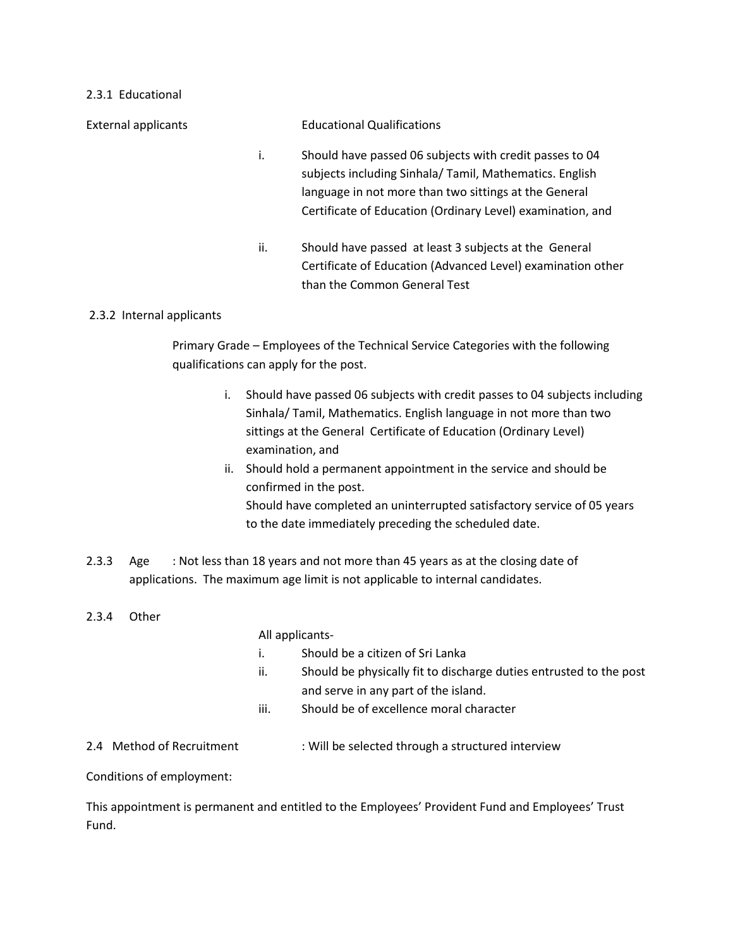#### 2.3.1 Educational

External applicants Educational Qualifications i. Should have passed 06 subjects with credit passes to 04 subjects including Sinhala/ Tamil, Mathematics. English language in not more than two sittings at the General Certificate of Education (Ordinary Level) examination, and ii. Should have passed at least 3 subjects at the General

# 2.3.2 Internal applicants

Primary Grade – Employees of the Technical Service Categories with the following qualifications can apply for the post.

than the Common General Test

i. Should have passed 06 subjects with credit passes to 04 subjects including Sinhala/ Tamil, Mathematics. English language in not more than two sittings at the General Certificate of Education (Ordinary Level) examination, and

Certificate of Education (Advanced Level) examination other

- ii. Should hold a permanent appointment in the service and should be confirmed in the post. Should have completed an uninterrupted satisfactory service of 05 years to the date immediately preceding the scheduled date.
- 2.3.3 Age : Not less than 18 years and not more than 45 years as at the closing date of applications. The maximum age limit is not applicable to internal candidates.
- 2.3.4 Other

All applicants-

- i. Should be a citizen of Sri Lanka
- ii. Should be physically fit to discharge duties entrusted to the post and serve in any part of the island.
- iii. Should be of excellence moral character
- 2.4 Method of Recruitment : Will be selected through a structured interview

Conditions of employment:

This appointment is permanent and entitled to the Employees' Provident Fund and Employees' Trust Fund.